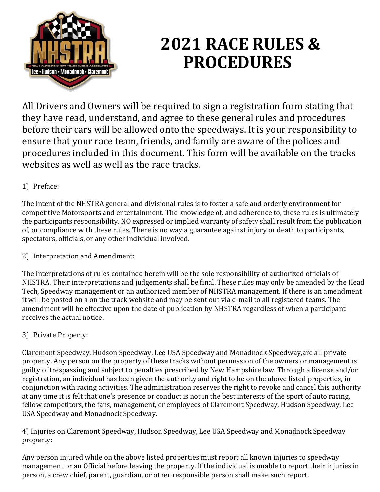

# **2021 RACE RULES & PROCEDURES**

All Drivers and Owners will be required to sign a registration form stating that they have read, understand, and agree to these general rules and procedures before their cars will be allowed onto the speedways. It is your responsibility to ensure that your race team, friends, and family are aware of the polices and procedures included in this document. This form will be available on the tracks websites as well as well as the race tracks.

## 1) Preface:

The intent of the NHSTRA general and divisional rules is to foster a safe and orderly environment for competitive Motorsports and entertainment. The knowledge of, and adherence to, these rules is ultimately the participants responsibility. NO expressed or implied warranty of safety shall result from the publication of, or compliance with these rules. There is no way a guarantee against injury or death to participants, spectators, officials, or any other individual involved.

## 2) Interpretation and Amendment:

The interpretations of rules contained herein will be the sole responsibility of authorized officials of NHSTRA. Their interpretations and judgements shall be final. These rules may only be amended by the Head Tech, Speedway management or an authorized member of NHSTRA management. If there is an amendment it will be posted on a on the track website and may be sent out via e-mail to all registered teams. The amendment will be effective upon the date of publication by NHSTRA regardless of when a participant receives the actual notice.

## 3) Private Property:

Claremont Speedway, Hudson Speedway, Lee USA Speedway and Monadnock Speedway,are all private property. Any person on the property of these tracks without permission of the owners or management is guilty of trespassing and subject to penalties prescribed by New Hampshire law. Through a license and/or registration, an individual has been given the authority and right to be on the above listed properties, in conjunction with racing activities. The administration reserves the right to revoke and cancel this authority at any time it is felt that one's presence or conduct is not in the best interests of the sport of auto racing, fellow competitors, the fans, management, or employees of Claremont Speedway, Hudson Speedway, Lee USA Speedway and Monadnock Speedway.

4) Injuries on Claremont Speedway, Hudson Speedway, Lee USA Speedway and Monadnock Speedway property:

Any person injured while on the above listed properties must report all known injuries to speedway management or an Official before leaving the property. If the individual is unable to report their injuries in person, a crew chief, parent, guardian, or other responsible person shall make such report.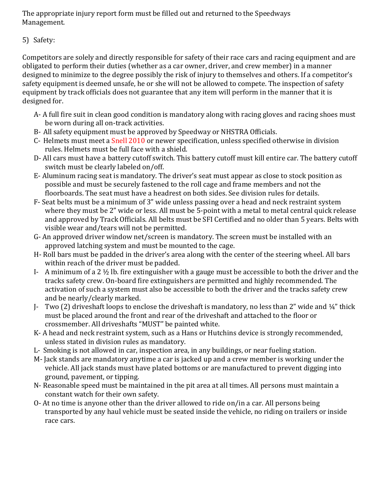The appropriate injury report form must be filled out and returned to the Speedways Management.

#### 5) Safety:

Competitors are solely and directly responsible for safety of their race cars and racing equipment and are obligated to perform their duties (whether as a car owner, driver, and crew member) in a manner designed to minimize to the degree possibly the risk of injury to themselves and others. If a competitor's safety equipment is deemed unsafe, he or she will not be allowed to compete. The inspection of safety equipment by track officials does not guarantee that any item will perform in the manner that it is designed for.

- A- A full fire suit in clean good condition is mandatory along with racing gloves and racing shoes must be worn during all on-track activities.
- B- All safety equipment must be approved by Speedway or NHSTRA Officials.
- C- Helmets must meet a Snell 2010 or newer specification, unless specified otherwise in division rules. Helmets must be full face with a shield.
- D- All cars must have a battery cutoff switch. This battery cutoff must kill entire car. The battery cutoff switch must be clearly labeled on/off.
- E- Aluminum racing seat is mandatory. The driver's seat must appear as close to stock position as possible and must be securely fastened to the roll cage and frame members and not the floorboards. The seat must have a headrest on both sides. See division rules for details.
- F- Seat belts must be a minimum of 3" wide unless passing over a head and neck restraint system where they must be 2" wide or less. All must be 5-point with a metal to metal central quick release and approved by Track Officials. All belts must be SFI Certified and no older than 5 years. Belts with visible wear and/tears will not be permitted.
- G- An approved driver window net/screen is mandatory. The screen must be installed with an approved latching system and must be mounted to the cage.
- H- Roll bars must be padded in the driver's area along with the center of the steering wheel. All bars within reach of the driver must be padded.
- I- A minimum of a 2 ½ lb. fire extinguisher with a gauge must be accessible to both the driver and the tracks safety crew. On-board fire extinguishers are permitted and highly recommended. The activation of such a system must also be accessible to both the driver and the tracks safety crew and be nearly/clearly marked.
- J- Two (2) driveshaft loops to enclose the driveshaft is mandatory, no less than 2" wide and ¼" thick must be placed around the front and rear of the driveshaft and attached to the floor or crossmember. All driveshafts "MUST" be painted white.
- K- A head and neck restraint system, such as a Hans or Hutchins device is strongly recommended, unless stated in division rules as mandatory.
- L- Smoking is not allowed in car, inspection area, in any buildings, or near fueling station.
- M- Jack stands are mandatory anytime a car is jacked up and a crew member is working under the vehicle. All jack stands must have plated bottoms or are manufactured to prevent digging into ground, pavement, or tipping.
- N- Reasonable speed must be maintained in the pit area at all times. All persons must maintain a constant watch for their own safety.
- O- At no time is anyone other than the driver allowed to ride on/in a car. All persons being transported by any haul vehicle must be seated inside the vehicle, no riding on trailers or inside race cars.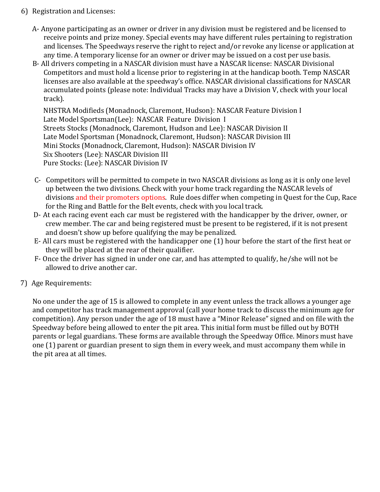- 6) Registration and Licenses:
	- A- Anyone participating as an owner or driver in any division must be registered and be licensed to receive points and prize money. Special events may have different rules pertaining to registration and licenses. The Speedways reserve the right to reject and/or revoke any license or application at any time. A temporary license for an owner or driver may be issued on a cost per use basis.
	- B- All drivers competing in a NASCAR division must have a NASCAR license: NASCAR Divisional Competitors and must hold a license prior to registering in at the handicap booth. Temp NASCAR licenses are also available at the speedway's office. NASCAR divisional classifications for NASCAR accumulated points (please note: Individual Tracks may have a Division V, check with your local track).

NHSTRA Modifieds (Monadnock, Claremont, Hudson): NASCAR Feature Division I Late Model Sportsman(Lee): NASCAR Feature Division I Streets Stocks (Monadnock, Claremont, Hudson and Lee): NASCAR Division II Late Model Sportsman (Monadnock, Claremont, Hudson): NASCAR Division III Mini Stocks (Monadnock, Claremont, Hudson): NASCAR Division IV Six Shooters (Lee): NASCAR Division III Pure Stocks: (Lee): NASCAR Division IV

- C- Competitors will be permitted to compete in two NASCAR divisions as long as it is only one level up between the two divisions. Check with your home track regarding the NASCAR levels of divisions and their promoters options. Rule does differ when competing in Quest for the Cup, Race for the Ring and Battle for the Belt events, check with you local track.
- D- At each racing event each car must be registered with the handicapper by the driver, owner, or crew member. The car and being registered must be present to be registered, if it is not present and doesn't show up before qualifying the may be penalized.
- E- All cars must be registered with the handicapper one (1) hour before the start of the first heat or they will be placed at the rear of their qualifier.
- F- Once the driver has signed in under one car, and has attempted to qualify, he/she will not be allowed to drive another car.
- 7) Age Requirements:

No one under the age of 15 is allowed to complete in any event unless the track allows a younger age and competitor has track management approval (call your home track to discuss the minimum age for competition). Any person under the age of 18 must have a "Minor Release" signed and on file with the Speedway before being allowed to enter the pit area. This initial form must be filled out by BOTH parents or legal guardians. These forms are available through the Speedway Office. Minors must have one (1) parent or guardian present to sign them in every week, and must accompany them while in the pit area at all times.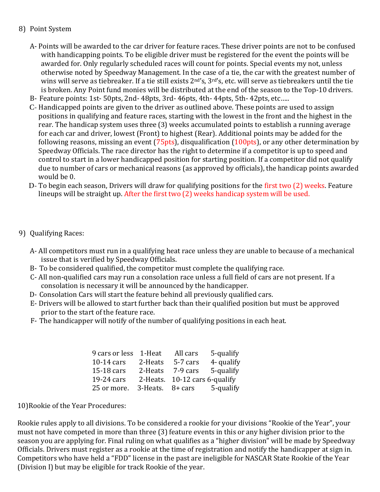#### 8) Point System

- A- Points will be awarded to the car driver for feature races. These driver points are not to be confused with handicapping points. To be eligible driver must be registered for the event the points will be awarded for. Only regularly scheduled races will count for points. Special events my not, unless otherwise noted by Speedway Management. In the case of a tie, the car with the greatest number of wins will serve as tiebreaker. If a tie still exists 2<sup>nd</sup>'s, 3<sup>rd</sup>'s, etc. will serve as tiebreakers until the tie is broken. Any Point fund monies will be distributed at the end of the season to the Top-10 drivers.
- B- Feature points: 1st- 50pts, 2nd- 48pts, 3rd- 46pts, 4th- 44pts, 5th- 42pts, etc…..
- C- Handicapped points are given to the driver as outlined above. These points are used to assign positions in qualifying and feature races, starting with the lowest in the front and the highest in the rear. The handicap system uses three (3) weeks accumulated points to establish a running average for each car and driver, lowest (Front) to highest (Rear). Additional points may be added for the following reasons, missing an event  $(75pts)$ , disqualification  $(100pts)$ , or any other determination by Speedway Officials. The race director has the right to determine if a competitor is up to speed and control to start in a lower handicapped position for starting position. If a competitor did not qualify due to number of cars or mechanical reasons (as approved by officials), the handicap points awarded would be 0.
- D- To begin each season, Drivers will draw for qualifying positions for the first two (2) weeks. Feature lineups will be straight up. After the first two (2) weeks handicap system will be used.

#### 9) Qualifying Races:

- A- All competitors must run in a qualifying heat race unless they are unable to because of a mechanical issue that is verified by Speedway Officials.
- B- To be considered qualified, the competitor must complete the qualifying race.
- C- All non-qualified cars may run a consolation race unless a full field of cars are not present. If a consolation is necessary it will be announced by the handicapper.
- D- Consolation Cars will start the feature behind all previously qualified cars.
- E- Drivers will be allowed to start further back than their qualified position but must be approved prior to the start of the feature race.
- F- The handicapper will notify of the number of qualifying positions in each heat.

| 9 cars or less | 1-Heat                | All cars                      | 5-qualify |
|----------------|-----------------------|-------------------------------|-----------|
| $10-14$ cars   | 2-Heats               | 5-7 cars                      | 4-qualify |
| 15-18 cars     | 2-Heats               | 7-9 cars                      | 5-qualify |
| 19-24 cars     |                       | 2-Heats. 10-12 cars 6-qualify |           |
| 25 or more.    | $3$ -Heats. $8+$ cars |                               | 5-qualify |

10)Rookie of the Year Procedures:

Rookie rules apply to all divisions. To be considered a rookie for your divisions "Rookie of the Year", your must not have competed in more than three (3) feature events in this or any higher division prior to the season you are applying for. Final ruling on what qualifies as a "higher division" will be made by Speedway Officials. Drivers must register as a rookie at the time of registration and notify the handicapper at sign in. Competitors who have held a "FDD" license in the past are ineligible for NASCAR State Rookie of the Year (Division I) but may be eligible for track Rookie of the year.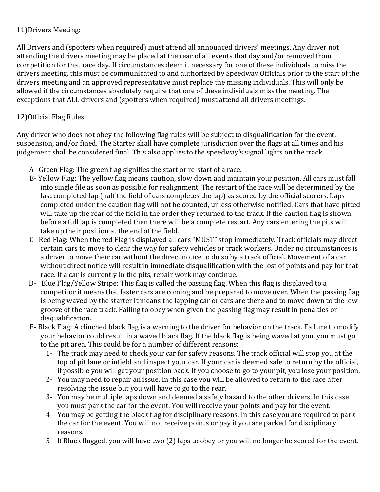#### 11)Drivers Meeting:

All Drivers and (spotters when required) must attend all announced drivers' meetings. Any driver not attending the drivers meeting may be placed at the rear of all events that day and/or removed from competition for that race day. If circumstances deem it necessary for one of these individuals to miss the drivers meeting, this must be communicated to and authorized by Speedway Officials prior to the start of the drivers meeting and an approved representative must replace the missing individuals. This will only be allowed if the circumstances absolutely require that one of these individuals miss the meeting. The exceptions that ALL drivers and (spotters when required) must attend all drivers meetings.

#### 12)Official Flag Rules:

Any driver who does not obey the following flag rules will be subject to disqualification for the event, suspension, and/or fined. The Starter shall have complete jurisdiction over the flags at all times and his judgement shall be considered final. This also applies to the speedway's signal lights on the track.

- A- Green Flag: The green flag signifies the start or re-start of a race.
- B- Yellow Flag: The yellow flag means caution, slow down and maintain your position. All cars must fall into single file as soon as possible for realignment. The restart of the race will be determined by the last completed lap (half the field of cars completes the lap) as scored by the official scorers. Laps completed under the caution flag will not be counted, unless otherwise notified. Cars that have pitted will take up the rear of the field in the order they returned to the track. If the caution flag is shown before a full lap is completed then there will be a complete restart. Any cars entering the pits will take up their position at the end of the field.
- C- Red Flag: When the red Flag is displayed all cars "MUST" stop immediately. Track officials may direct certain cars to move to clear the way for safety vehicles or track workers. Under no circumstances is a driver to move their car without the direct notice to do so by a track official. Movement of a car without direct notice will result in immediate disqualification with the lost of points and pay for that race. If a car is currently in the pits, repair work may continue.
- D- Blue Flag/Yellow Stripe: This flag is called the passing flag. When this flag is displayed to a competitor it means that faster cars are coming and be prepared to move over. When the passing flag is being waved by the starter it means the lapping car or cars are there and to move down to the low groove of the race track. Failing to obey when given the passing flag may result in penalties or disqualification.
- E- Black Flag: A clinched black flag is a warning to the driver for behavior on the track. Failure to modify your behavior could result in a waved black flag. If the black flag is being waved at you, you must go to the pit area. This could be for a number of different reasons:
	- 1- The track may need to check your car for safety reasons. The track official will stop you at the top of pit lane or infield and inspect your car. If your car is deemed safe to return by the official, if possible you will get your position back. If you choose to go to your pit, you lose your position.
	- 2- You may need to repair an issue. In this case you will be allowed to return to the race after resolving the issue but you will have to go to the rear.
	- 3- You may be multiple laps down and deemed a safety hazard to the other drivers. In this case you must park the car for the event. You will receive your points and pay for the event.
	- 4- You may be getting the black flag for disciplinary reasons. In this case you are required to park the car for the event. You will not receive points or pay if you are parked for disciplinary reasons.
	- 5- If Black flagged, you will have two (2) laps to obey or you will no longer be scored for the event.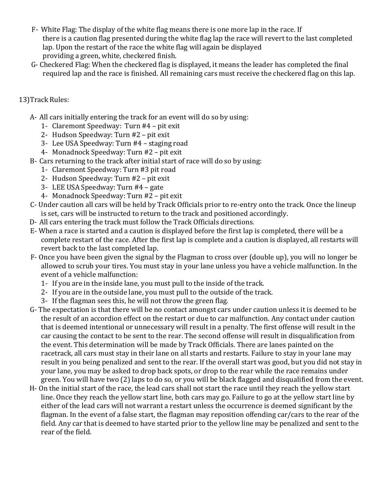- F- White Flag: The display of the white flag means there is one more lap in the race. If there is a caution flag presented during the white flag lap the race will revert to the last completed lap. Upon the restart of the race the white flag will again be displayed providing a green, white, checkered finish.
- G- Checkered Flag: When the checkered flag is displayed, it means the leader has completed the final required lap and the race is finished. All remaining cars must receive the checkered flag on this lap.

## 13)Track Rules:

- A- All cars initially entering the track for an event will do so by using:
	- 1- Claremont Speedway: Turn #4 pit exit
	- 2- Hudson Speedway: Turn #2 pit exit
	- 3- Lee USA Speedway: Turn #4 staging road
	- 4- Monadnock Speedway: Turn #2 pit exit
- B- Cars returning to the track after initial start of race will do so by using:
	- 1- Claremont Speedway: Turn #3 pit road
	- 2- Hudson Speedway: Turn #2 pit exit
	- 3- LEE USA Speedway: Turn #4 gate
	- 4- Monadnock Speedway: Turn #2 pit exit
- C- Under caution all cars will be held by Track Officials prior to re-entry onto the track. Once the lineup is set, cars will be instructed to return to the track and positioned accordingly.
- D- All cars entering the track must follow the Track Officials directions.
- E- When a race is started and a caution is displayed before the first lap is completed, there will be a complete restart of the race. After the first lap is complete and a caution is displayed, all restarts will revert back to the last completed lap.
- F- Once you have been given the signal by the Flagman to cross over (double up), you will no longer be allowed to scrub your tires. You must stay in your lane unless you have a vehicle malfunction. In the event of a vehicle malfunction:
	- 1- If you are in the inside lane, you must pull to the inside of the track.
	- 2- If you are in the outside lane, you must pull to the outside of the track.
	- 3- If the flagman sees this, he will not throw the green flag.
- G- The expectation is that there will be no contact amongst cars under caution unless it is deemed to be the result of an accordion effect on the restart or due to car malfunction. Any contact under caution that is deemed intentional or unnecessary will result in a penalty. The first offense will result in the car causing the contact to be sent to the rear. The second offense will result in disqualification from the event. This determination will be made by Track Officials. There are lanes painted on the racetrack, all cars must stay in their lane on all starts and restarts. Failure to stay in your lane may result in you being penalized and sent to the rear. If the overall start was good, but you did not stay in your lane, you may be asked to drop back spots, or drop to the rear while the race remains under green. You will have two (2) laps to do so, or you will be black flagged and disqualified from the event.
- H- On the initial start of the race, the lead cars shall not start the race until they reach the yellow start line. Once they reach the yellow start line, both cars may go. Failure to go at the yellow start line by either of the lead cars will not warrant a restart unless the occurrence is deemed significant by the flagman. In the event of a false start, the flagman may reposition offending car/cars to the rear of the field. Any car that is deemed to have started prior to the yellow line may be penalized and sent to the rear of the field.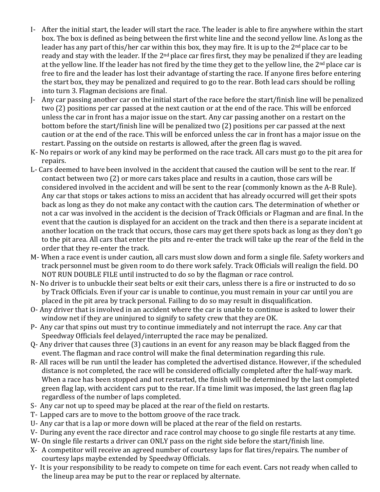- I- After the initial start, the leader will start the race. The leader is able to fire anywhere within the start box. The box is defined as being between the first white line and the second yellow line. As long as the leader has any part of this/her car within this box, they may fire. It is up to the  $2<sup>nd</sup>$  place car to be ready and stay with the leader. If the 2<sup>nd</sup> place car fires first, they may be penalized if they are leading at the yellow line. If the leader has not fired by the time they get to the yellow line, the 2<sup>nd</sup> place car is free to fire and the leader has lost their advantage of starting the race. If anyone fires before entering the start box, they may be penalized and required to go to the rear. Both lead cars should be rolling into turn 3. Flagman decisions are final.
- J- Any car passing another car on the initial start of the race before the start/finish line will be penalized two (2) positions per car passed at the next caution or at the end of the race. This will be enforced unless the car in front has a major issue on the start. Any car passing another on a restart on the bottom before the start/finish line will be penalized two (2) positions per car passed at the next caution or at the end of the race. This will be enforced unless the car in front has a major issue on the restart. Passing on the outside on restarts is allowed, after the green flag is waved.
- K- No repairs or work of any kind may be performed on the race track. All cars must go to the pit area for repairs.
- L- Cars deemed to have been involved in the accident that caused the caution will be sent to the rear. If contact between two (2) or more cars takes place and results in a caution, those cars will be considered involved in the accident and will be sent to the rear (commonly known as the A-B Rule). Any car that stops or takes actions to miss an accident that has already occurred will get their spots back as long as they do not make any contact with the caution cars. The determination of whether or not a car was involved in the accident is the decision of Track Officials or Flagman and are final. In the event that the caution is displayed for an accident on the track and then there is a separate incident at another location on the track that occurs, those cars may get there spots back as long as they don't go to the pit area. All cars that enter the pits and re-enter the track will take up the rear of the field in the order that they re-enter the track.
- M- When a race event is under caution, all cars must slow down and form a single file. Safety workers and track personnel must be given room to do there work safely. Track Officials will realign the field. DO NOT RUN DOUBLE FILE until instructed to do so by the flagman or race control.
- N- No driver is to unbuckle their seat belts or exit their cars, unless there is a fire or instructed to do so by Track Officials. Even if your car is unable to continue, you must remain in your car until you are placed in the pit area by track personal. Failing to do so may result in disqualification.
- O- Any driver that is involved in an accident where the car is unable to continue is asked to lower their window net if they are uninjured to signify to safety crew that they are OK.
- P- Any car that spins out must try to continue immediately and not interrupt the race. Any car that Speedway Officials feel delayed/interrupted the race may be penalized.
- Q- Any driver that causes three (3) cautions in an event for any reason may be black flagged from the event. The flagman and race control will make the final determination regarding this rule.
- R- All races will be run until the leader has completed the advertised distance. However, if the scheduled distance is not completed, the race will be considered officially completed after the half-way mark. When a race has been stopped and not restarted, the finish will be determined by the last completed green flag lap, with accident cars put to the rear. If a time limit was imposed, the last green flag lap regardless of the number of laps completed.
- S- Any car not up to speed may be placed at the rear of the field on restarts.
- T- Lapped cars are to move to the bottom groove of the race track.
- U- Any car that is a lap or more down will be placed at the rear of the field on restarts.
- V- During any event the race director and race control may choose to go single file restarts at any time.
- W- On single file restarts a driver can ONLY pass on the right side before the start/finish line.
- X- A competitor will receive an agreed number of courtesy laps for flat tires/repairs. The number of courtesy laps maybe extended by Speedway Officials.
- Y- It is your responsibility to be ready to compete on time for each event. Cars not ready when called to the lineup area may be put to the rear or replaced by alternate.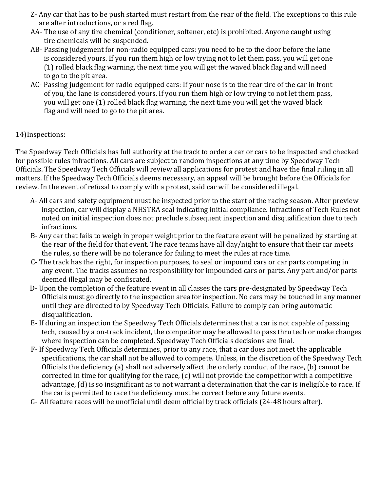- Z- Any car that has to be push started must restart from the rear of the field. The exceptions to this rule are after introductions, or a red flag.
- AA- The use of any tire chemical (conditioner, softener, etc) is prohibited. Anyone caught using tire chemicals will be suspended.
- AB- Passing judgement for non-radio equipped cars: you need to be to the door before the lane is considered yours. If you run them high or low trying not to let them pass, you will get one (1) rolled black flag warning, the next time you will get the waved black flag and will need to go to the pit area.
- AC- Passing judgement for radio equipped cars: If your nose is to the rear tire of the car in front of you, the lane is considered yours. If you run them high or low trying to not let them pass, you will get one (1) rolled black flag warning, the next time you will get the waved black flag and will need to go to the pit area.

## 14)Inspections:

The Speedway Tech Officials has full authority at the track to order a car or cars to be inspected and checked for possible rules infractions. All cars are subject to random inspections at any time by Speedway Tech Officials. The Speedway Tech Officials will review all applications for protest and have the final ruling in all matters. If the Speedway Tech Officials deems necessary, an appeal will be brought before the Officials for review. In the event of refusal to comply with a protest, said car will be considered illegal.

- A- All cars and safety equipment must be inspected prior to the start of the racing season. After preview inspection, car will display a NHSTRA seal indicating initial compliance. Infractions of Tech Rules not noted on initial inspection does not preclude subsequent inspection and disqualification due to tech infractions.
- B- Any car that fails to weigh in proper weight prior to the feature event will be penalized by starting at the rear of the field for that event. The race teams have all day/night to ensure that their car meets the rules, so there will be no tolerance for failing to meet the rules at race time.
- C- The track has the right, for inspection purposes, to seal or impound cars or car parts competing in any event. The tracks assumes no responsibility for impounded cars or parts. Any part and/or parts deemed illegal may be confiscated.
- D- Upon the completion of the feature event in all classes the cars pre-designated by Speedway Tech Officials must go directly to the inspection area for inspection. No cars may be touched in any manner until they are directed to by Speedway Tech Officials. Failure to comply can bring automatic disqualification.
- E- If during an inspection the Speedway Tech Officials determines that a car is not capable of passing tech, caused by a on-track incident, the competitor may be allowed to pass thru tech or make changes where inspection can be completed. Speedway Tech Officials decisions are final.
- F- If Speedway Tech Officials determines, prior to any race, that a car does not meet the applicable specifications, the car shall not be allowed to compete. Unless, in the discretion of the Speedway Tech Officials the deficiency (a) shall not adversely affect the orderly conduct of the race, (b) cannot be corrected in time for qualifying for the race, (c) will not provide the competitor with a competitive advantage, (d) is so insignificant as to not warrant a determination that the car is ineligible to race. If the car is permitted to race the deficiency must be correct before any future events.
- G- All feature races will be unofficial until deem official by track officials (24-48 hours after).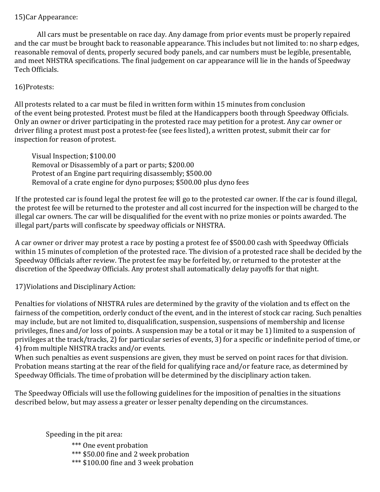#### 15)Car Appearance:

All cars must be presentable on race day. Any damage from prior events must be properly repaired and the car must be brought back to reasonable appearance. This includes but not limited to: no sharp edges, reasonable removal of dents, properly secured body panels, and car numbers must be legible, presentable, and meet NHSTRA specifications. The final judgement on car appearance will lie in the hands of Speedway Tech Officials.

#### 16)Protests:

All protests related to a car must be filed in written form within 15 minutes from conclusion of the event being protested. Protest must be filed at the Handicappers booth through Speedway Officials. Only an owner or driver participating in the protested race may petition for a protest. Any car owner or driver filing a protest must post a protest-fee (see fees listed), a written protest, submit their car for inspection for reason of protest.

Visual Inspection; \$100.00 Removal or Disassembly of a part or parts; \$200.00 Protest of an Engine part requiring disassembly; \$500.00 Removal of a crate engine for dyno purposes; \$500.00 plus dyno fees

If the protested car is found legal the protest fee will go to the protested car owner. If the car is found illegal, the protest fee will be returned to the protester and all cost incurred for the inspection will be charged to the illegal car owners. The car will be disqualified for the event with no prize monies or points awarded. The illegal part/parts will confiscate by speedway officials or NHSTRA.

A car owner or driver may protest a race by posting a protest fee of \$500.00 cash with Speedway Officials within 15 minutes of completion of the protested race. The division of a protested race shall be decided by the Speedway Officials after review. The protest fee may be forfeited by, or returned to the protester at the discretion of the Speedway Officials. Any protest shall automatically delay payoffs for that night.

17)Violations and Disciplinary Action:

Penalties for violations of NHSTRA rules are determined by the gravity of the violation and ts effect on the fairness of the competition, orderly conduct of the event, and in the interest of stock car racing. Such penalties may include, but are not limited to, disqualification, suspension, suspensions of membership and license privileges, fines and/or loss of points. A suspension may be a total or it may be 1) limited to a suspension of privileges at the track/tracks, 2) for particular series of events, 3) for a specific or indefinite period of time, or 4) from multiple NHSTRA tracks and/or events.

When such penalties as event suspensions are given, they must be served on point races for that division. Probation means starting at the rear of the field for qualifying race and/or feature race, as determined by Speedway Officials. The time of probation will be determined by the disciplinary action taken.

The Speedway Officials will use the following guidelines for the imposition of penalties in the situations described below, but may assess a greater or lesser penalty depending on the circumstances.

Speeding in the pit area:

\*\*\* One event probation \*\*\* \$50.00 fine and 2 week probation \*\*\* \$100.00 fine and 3 week probation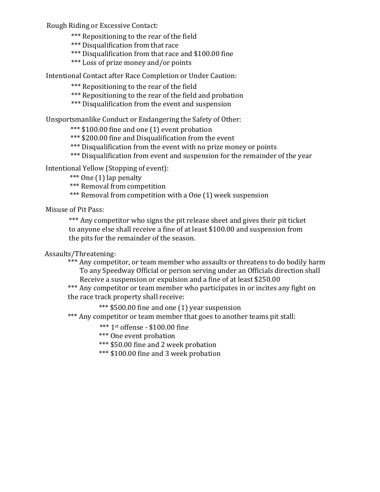Rough Riding or Excessive Contact:

\*\*\* Repositioning to the rear of the field

\*\*\* Disqualification from that race

\*\*\* Disqualification from that race and \$100.00 fine

\*\*\* Loss of prize money and/or points

Intentional Contact after Race Completion or Under Caution:

\*\*\* Repositioning to the rear of the field

\*\*\* Repositioning to the rear of the field and probation

\*\*\* Disqualification from the event and suspension

Unsportsmanlike Conduct or Endangering the Safety of Other:

\*\*\* \$100.00 fine and one (1) event probation

- \*\*\* \$200.00 fine and Disqualification from the event
- \*\*\* Disqualification from the event with no prize money or points
- \*\*\* Disqualification from event and suspension for the remainder of the year

Intentional Yellow (Stopping of event):

\*\*\* One (1) lap penalty

\*\*\* Removal from competition

\*\*\* Removal from competition with a One (1) week suspension

Misuse of Pit Pass:

\*\*\* Any competitor who signs the pit release sheet and gives their pit ticket to anyone else shall receive a fine of at least \$100.00 and suspension from the pits for the remainder of the season.

Assaults/Threatening:

\*\*\* Any competitor, or team member who assaults or threatens to do bodily harm To any Speedway Official or person serving under an Officials direction shall Receive a suspension or expulsion and a fine of at least \$250.00

\*\*\* Any competitor or team member who participates in or incites any fight on the race track property shall receive:

\*\*\* \$500.00 fine and one (1) year suspension

\*\*\* Any competitor or team member that goes to another teams pit stall:

\*\*\* 1st offense - \$100.00 fine

\*\*\* One event probation

\*\*\* \$50.00 fine and 2 week probation

\*\*\* \$100.00 fine and 3 week probation